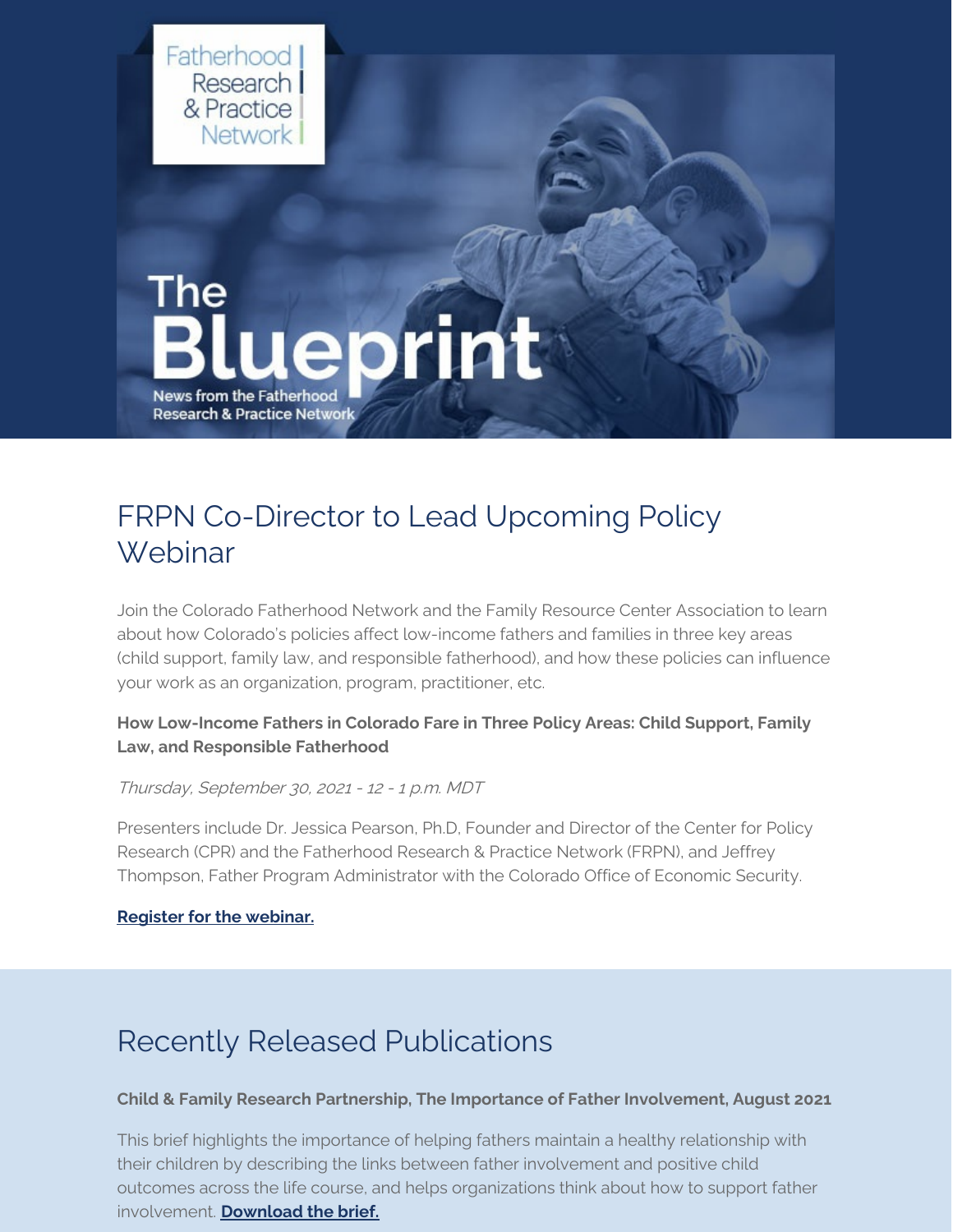

# FRPN Co-Director to Lead Upcoming Policy Webinar

Join the Colorado Fatherhood Network and the Family Resource Center Association to learn about how Colorado's policies affect low-income fathers and families in three key areas (child support, family law, and responsible fatherhood), and how these policies can influence your work as an organization, program, practitioner, etc.

## **How Low-Income Fathers in Colorado Fare in Three Policy Areas: Child Support, Family Law, and Responsible Fatherhood**

### Thursday, September 30, <sup>2021</sup> - <sup>12</sup> - <sup>1</sup> p.m. MDT

Presenters include Dr. Jessica Pearson, Ph.D, Founder and Director of the Center for Policy Research (CPR) and the Fatherhood Research & Practice Network (FRPN), and Jeffrey Thompson, Father Program Administrator with the Colorado Office of Economic Security.

### **[Register](https://register.gotowebinar.com/register/560300547969771023) for the webinar.**

# Recently Released Publications

### **Child & Family Research Partnership, The Importance of Father Involvement, August 2021**

This brief highlights the importance of helping fathers maintain a healthy relationship with their children by describing the links between father involvement and positive child outcomes across the life course, and helps organizations think about how to support father involvement. **[Download](https://childandfamilyresearch.utexas.edu/sites/default/files/CFRPBrief_B0450821_ImportanceofFatherInvolvement.pdf) the brief.**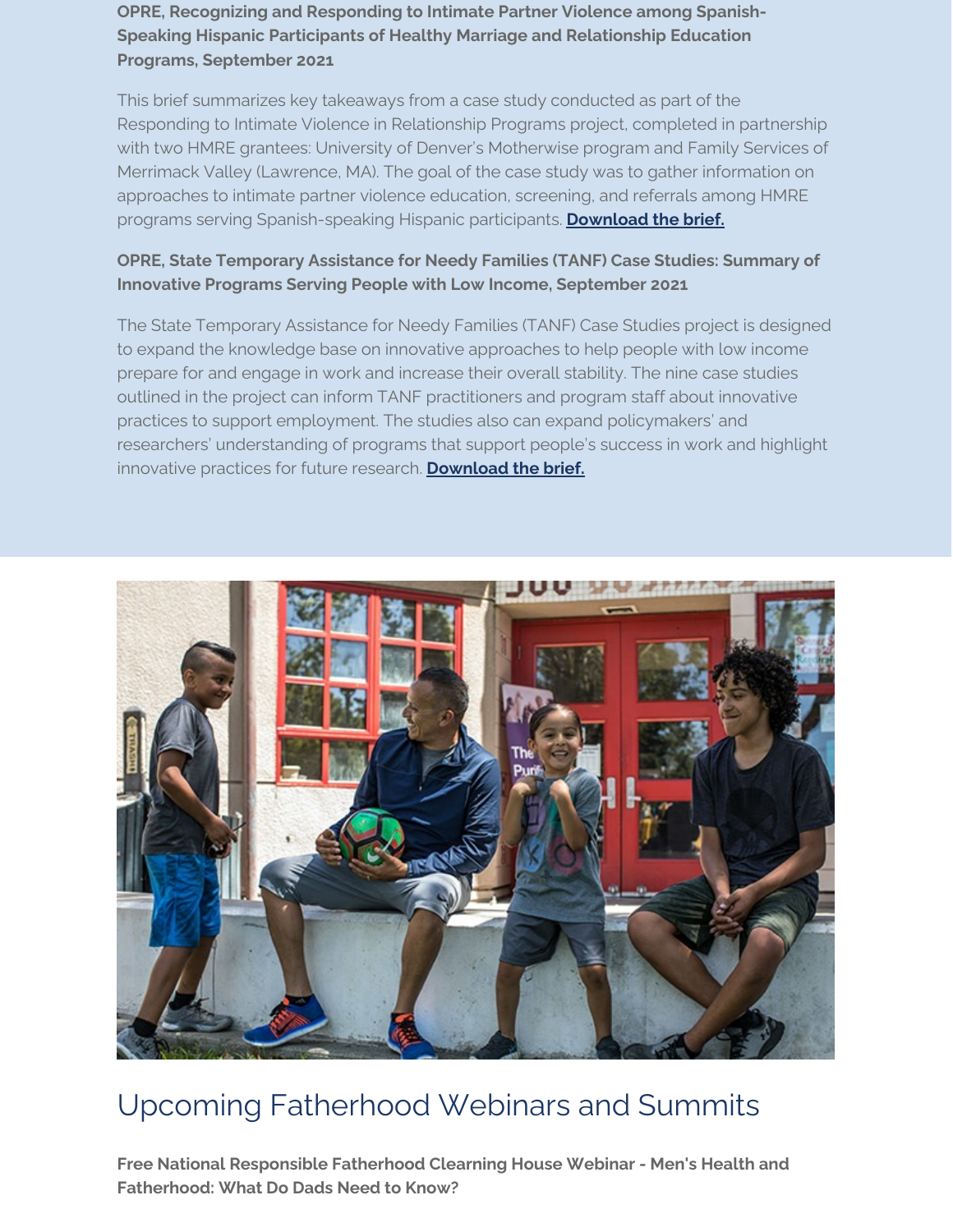**OPRE, Recognizing and Responding to Intimate Partner Violence among Spanish-Speaking Hispanic Participants of Healthy Marriage and Relationship Education Programs, September 2021**

This brief summarizes key takeaways from a case study conducted as part of the Responding to Intimate Violence in Relationship Programs project, completed in partnership with two HMRE grantees: University of Denver's Motherwise program and Family Services of Merrimack Valley (Lawrence, MA). The goal of the case study was to gather information on approaches to intimate partner violence education, screening, and referrals among HMRE programs serving Spanish-speaking Hispanic participants. **[Download](https://acf.hhs.gov/opre/report/case-study-brief-recognizing-and-responding-intimate-partner-violence-among-spanish) the brief.**

# **OPRE, State Temporary Assistance for Needy Families (TANF) Case Studies: Summary of Innovative Programs Serving People with Low Income, September 2021**

The State Temporary Assistance for Needy Families (TANF) Case Studies project is designed to expand the knowledge base on innovative approaches to help people with low income prepare for and engage in work and increase their overall stability. The nine case studies outlined in the project can inform TANF practitioners and program staff about innovative practices to support employment. The studies also can expand policymakers' and researchers' understanding of programs that support people's success in work and highlight innovative practices for future research. **[Download](https://www.acf.hhs.gov/opre/report/state-temporary-assistance-needy-families-tanf-case-studies-summary-innovative-programs) the brief.**



# Upcoming Fatherhood Webinars and Summits

**Free National Responsible Fatherhood Clearning House Webinar - Men's Health and Fatherhood: What Do Dads Need to Know?**